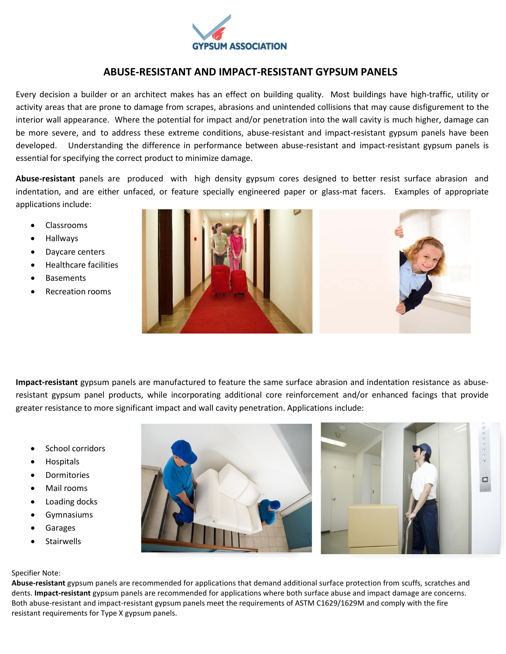

# **ABUSE-RESISTANT AND IMPACT-RESISTANT GYPSUM PANELS**

Every decision a builder or an architect makes has an effect on building quality. Most buildings have high-traffic, utility or activity areas that are prone to damage from scrapes, abrasions and unintended collisions that may cause disfigurement to the interior wall appearance. Where the potential for impact and/or penetration into the wall cavity is much higher, damage can be more severe, and to address these extreme conditions, abuse-resistant and impact-resistant gypsum panels have been developed. Understanding the difference in performance between abuse-resistant and impact-resistant gypsum panels is essential for specifying the correct product to minimize damage.

**Abuse-resistant** panels are produced with high density gypsum cores designed [to better resist surface abrasion and](http://www.google.com/imgres?imgurl=http://cdn.instructables.com/FRZ/8SEU/H27LRQWW/FRZ8SEUH27LRQWW.LARGE.jpg&imgrefurl=http://www.instructables.com/id/Carabiner-Keychain-Mod-Stop-dropping-your-keys/?lang%3Dde&h=267&w=400&tbnid=QpxT72N6PtVN3M:&zoom=1&docid=SXEmbsERS2jkZM&hl=en&ei=HGBiVNmWKoWvyQTxx4CADQ&tbm=isch&ved=0CD0QMygVMBU&iact=rc&uact=3&dur=2808&page=2&start=12&ndsp=16)  [in](http://www.google.com/imgres?imgurl=http://cdn.instructables.com/FRZ/8SEU/H27LRQWW/FRZ8SEUH27LRQWW.LARGE.jpg&imgrefurl=http://www.instructables.com/id/Carabiner-Keychain-Mod-Stop-dropping-your-keys/?lang%3Dde&h=267&w=400&tbnid=QpxT72N6PtVN3M:&zoom=1&docid=SXEmbsERS2jkZM&hl=en&ei=HGBiVNmWKoWvyQTxx4CADQ&tbm=isch&ved=0CD0QMygVMBU&iact=rc&uact=3&dur=2808&page=2&start=12&ndsp=16)[dentation, and are either](http://www.google.com/imgres?imgurl=http://westerlyliving.files.wordpress.com/2013/08/backpack1.jpg&imgrefurl=http://westerlyliving.com/tag/back-to-school/&h=399&w=600&tbnid=MWc2THCEnbPrHM:&zoom=1&docid=l04RaOibN91YYM&ei=sxhiVNK5EIuSyQSSh4CwCg&tbm=isch&ved=0CDEQMygpMCk4yAE&iact=rc&uact=3&dur=508&page=11&start=234&ndsp=21) unfaced, or feature specially engineered paper or glass-mat facers. Examples of appropriate applications include:

- Classrooms
- Hallways
- Daycare centers
- Healthcare facilities
- **Basements**
- Recreation rooms





**Impact-resistant** gypsum panels are manufactured to feature the same surface abrasion and indentation resistance as abuseresistant gypsum panel products, while incorporating additional core reinforcement and/or enhanced facings that provide greater resistance to more significant impact and wall cavity penetration. Applications include:

- School corridors
- Hospitals
- **Dormitories**
- Mail rooms
- Loading docks
- Gymnasiums
- **Garages**
- **Stairwells**



#### Specifier Note:

**Abuse-resistant** gypsum panels are recommended for applications that demand additional surface protection from scuffs, scratches and dents. **Impact-resistant** gypsum panels are recommended for applications where both surface abuse and impact damage are concerns. Both abuse-resistant and impact-resistant gypsum panels meet the requirements of ASTM C1629/1629M and comply with the fire resistant requirements for Type X gypsum panels.